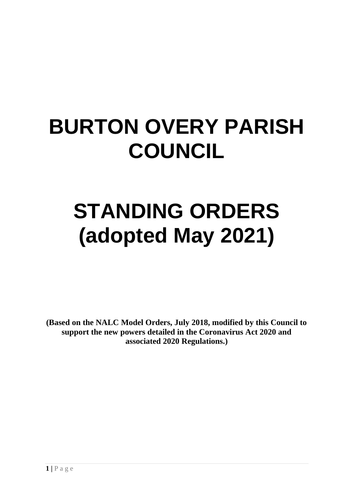# **BURTON OVERY PARISH COUNCIL**

# **STANDING ORDERS (adopted May 2021)**

**(Based on the NALC Model Orders, July 2018, modified by this Council to support the new powers detailed in the Coronavirus Act 2020 and associated 2020 Regulations.)**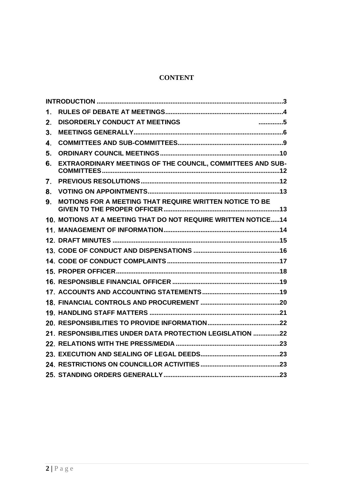# **CONTENT**

| 1.             |                                                                |  |
|----------------|----------------------------------------------------------------|--|
| 2.             | <b>DISORDERLY CONDUCT AT MEETINGS</b><br>. 5                   |  |
| 3 <sub>1</sub> |                                                                |  |
| 4.             |                                                                |  |
| 5.             |                                                                |  |
| 6.             | EXTRAORDINARY MEETINGS OF THE COUNCIL, COMMITTEES AND SUB-     |  |
| 7.             |                                                                |  |
| 8.             |                                                                |  |
| 9.             | MOTIONS FOR A MEETING THAT REQUIRE WRITTEN NOTICE TO BE        |  |
|                | 10. MOTIONS AT A MEETING THAT DO NOT REQUIRE WRITTEN NOTICE 14 |  |
|                |                                                                |  |
|                |                                                                |  |
|                |                                                                |  |
|                |                                                                |  |
|                |                                                                |  |
|                |                                                                |  |
|                |                                                                |  |
|                |                                                                |  |
|                |                                                                |  |
|                |                                                                |  |
|                | 21. RESPONSIBILITIES UNDER DATA PROTECTION LEGISLATION 22      |  |
|                |                                                                |  |
|                |                                                                |  |
|                |                                                                |  |
|                |                                                                |  |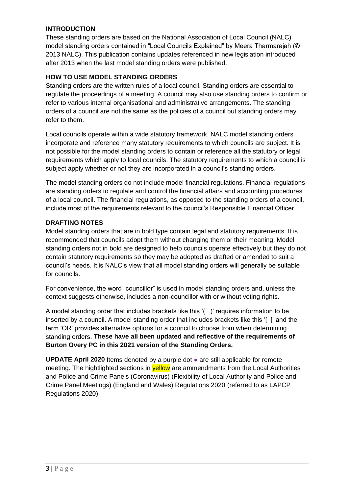# <span id="page-2-0"></span>**INTRODUCTION**

These standing orders are based on the National Association of Local Council (NALC) model standing orders contained in "Local Councils Explained" by Meera Tharmarajah (© 2013 NALC). This publication contains updates referenced in new legislation introduced after 2013 when the last model standing orders were published.

# **HOW TO USE MODEL STANDING ORDERS**

Standing orders are the written rules of a local council. Standing orders are essential to regulate the proceedings of a meeting. A council may also use standing orders to confirm or refer to various internal organisational and administrative arrangements. The standing orders of a council are not the same as the policies of a council but standing orders may refer to them.

Local councils operate within a wide statutory framework. NALC model standing orders incorporate and reference many statutory requirements to which councils are subject. It is not possible for the model standing orders to contain or reference all the statutory or legal requirements which apply to local councils. The statutory requirements to which a council is subject apply whether or not they are incorporated in a council's standing orders.

The model standing orders do not include model financial regulations. Financial regulations are standing orders to regulate and control the financial affairs and accounting procedures of a local council. The financial regulations, as opposed to the standing orders of a council, include most of the requirements relevant to the council's Responsible Financial Officer.

# **DRAFTING NOTES**

Model standing orders that are in bold type contain legal and statutory requirements. It is recommended that councils adopt them without changing them or their meaning. Model standing orders not in bold are designed to help councils operate effectively but they do not contain statutory requirements so they may be adopted as drafted or amended to suit a council's needs. It is NALC's view that all model standing orders will generally be suitable for councils.

For convenience, the word "councillor" is used in model standing orders and, unless the context suggests otherwise, includes a non-councillor with or without voting rights.

A model standing order that includes brackets like this '( )' requires information to be inserted by a council. A model standing order that includes brackets like this '[ ]' and the term 'OR' provides alternative options for a council to choose from when determining standing orders. **These have all been updated and reflective of the requirements of Burton Overy PC in this 2021 version of the Standing Orders.**

**UPDATE April 2020** Items denoted by a purple dot ● are still applicable for remote meeting. The hightlighted sections in **yellow** are ammendments from the Local Authorities and Police and Crime Panels (Coronavirus) (Flexibility of Local Authority and Police and Crime Panel Meetings) (England and Wales) Regulations 2020 (referred to as LAPCP Regulations 2020)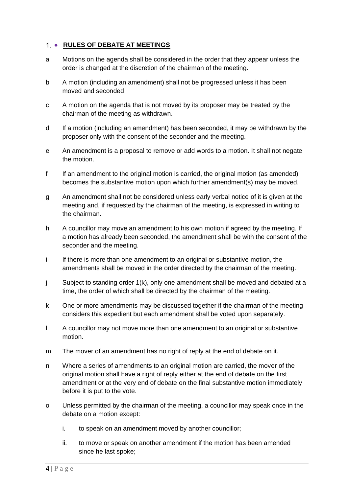# <span id="page-3-0"></span>1 . RULES OF DEBATE AT MEETINGS

- a Motions on the agenda shall be considered in the order that they appear unless the order is changed at the discretion of the chairman of the meeting.
- b A motion (including an amendment) shall not be progressed unless it has been moved and seconded.
- c A motion on the agenda that is not moved by its proposer may be treated by the chairman of the meeting as withdrawn.
- d If a motion (including an amendment) has been seconded, it may be withdrawn by the proposer only with the consent of the seconder and the meeting.
- e An amendment is a proposal to remove or add words to a motion. It shall not negate the motion.
- f If an amendment to the original motion is carried, the original motion (as amended) becomes the substantive motion upon which further amendment(s) may be moved.
- g An amendment shall not be considered unless early verbal notice of it is given at the meeting and, if requested by the chairman of the meeting, is expressed in writing to the chairman.
- h A councillor may move an amendment to his own motion if agreed by the meeting. If a motion has already been seconded, the amendment shall be with the consent of the seconder and the meeting.
- i If there is more than one amendment to an original or substantive motion, the amendments shall be moved in the order directed by the chairman of the meeting.
- j Subject to standing order 1(k), only one amendment shall be moved and debated at a time, the order of which shall be directed by the chairman of the meeting.
- k One or more amendments may be discussed together if the chairman of the meeting considers this expedient but each amendment shall be voted upon separately.
- l A councillor may not move more than one amendment to an original or substantive motion.
- m The mover of an amendment has no right of reply at the end of debate on it.
- n Where a series of amendments to an original motion are carried, the mover of the original motion shall have a right of reply either at the end of debate on the first amendment or at the very end of debate on the final substantive motion immediately before it is put to the vote.
- o Unless permitted by the chairman of the meeting, a councillor may speak once in the debate on a motion except:
	- i. to speak on an amendment moved by another councillor;
	- ii. to move or speak on another amendment if the motion has been amended since he last spoke;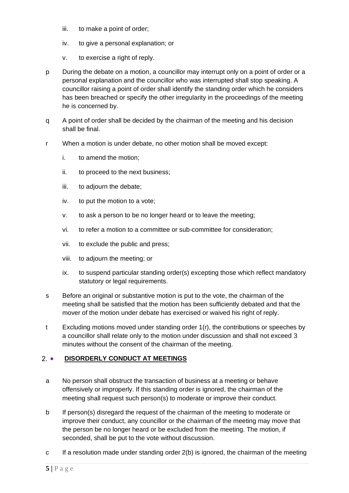- iii. to make a point of order;
- iv. to give a personal explanation; or
- v. to exercise a right of reply.
- p During the debate on a motion, a councillor may interrupt only on a point of order or a personal explanation and the councillor who was interrupted shall stop speaking. A councillor raising a point of order shall identify the standing order which he considers has been breached or specify the other irregularity in the proceedings of the meeting he is concerned by.
- q A point of order shall be decided by the chairman of the meeting and his decision shall be final.
- r When a motion is under debate, no other motion shall be moved except:
	- i. to amend the motion;
	- ii. to proceed to the next business;
	- iii. to adjourn the debate;
	- iv. to put the motion to a vote;
	- v. to ask a person to be no longer heard or to leave the meeting;
	- vi. to refer a motion to a committee or sub-committee for consideration;
	- vii. to exclude the public and press;
	- viii. to adjourn the meeting; or
	- ix. to suspend particular standing order(s) excepting those which reflect mandatory statutory or legal requirements.
- s Before an original or substantive motion is put to the vote, the chairman of the meeting shall be satisfied that the motion has been sufficiently debated and that the mover of the motion under debate has exercised or waived his right of reply.
- t Excluding motions moved under standing order 1(r), the contributions or speeches by a councillor shall relate only to the motion under discussion and shall not exceed 3 minutes without the consent of the chairman of the meeting.

# <span id="page-4-0"></span>2. **• DISORDERLY CONDUCT AT MEETINGS**

- a No person shall obstruct the transaction of business at a meeting or behave offensively or improperly. If this standing order is ignored, the chairman of the meeting shall request such person(s) to moderate or improve their conduct.
- b If person(s) disregard the request of the chairman of the meeting to moderate or improve their conduct, any councillor or the chairman of the meeting may move that the person be no longer heard or be excluded from the meeting. The motion, if seconded, shall be put to the vote without discussion.
- c If a resolution made under standing order 2(b) is ignored, the chairman of the meeting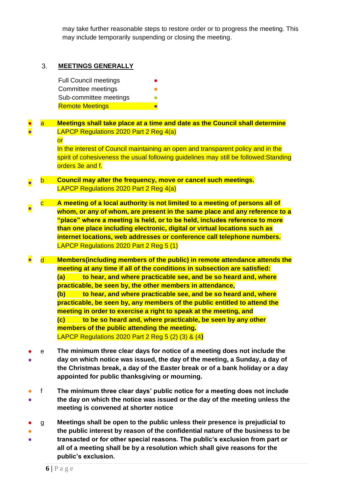may take further reasonable steps to restore order or to progress the meeting. This may include temporarily suspending or closing the meeting.

#### <span id="page-5-0"></span> $3<sub>1</sub>$ **MEETINGS GENERALLY**

Full Council meetings Committee meetings Sub-committee meetings **Remote Meetings** 

#### ● ● a **Meetings shall take place at a time and date as the Council shall determine**  LAPCP Regulations 2020 Part 2 Reg 4(a)

or

In the interest of Council maintaining an open and transparent policy and in the spirit of cohesiveness the usual following guidelines may still be followed:Standing orders 3e and f.

- b **Council may alter the frequency, move or cancel such meetings.** LAPCP Regulations 2020 Part 2 Reg 4(a)
- c **A meeting of a local authority is not limited to a meeting of persons all of whom, or any of whom, are present in the same place and any reference to a "place" where a meeting is held, or to be held, includes reference to more than one place including electronic, digital or virtual locations such as internet locations, web addresses or conference call telephone numbers.** LAPCP Regulations 2020 Part 2 Reg 5 (1)

● d **Members(including members of the public) in remote attendance attends the meeting at any time if all of the conditions in subsection are satisfied: (a) to hear, and where practicable see, and be so heard and, where practicable, be seen by, the other members in attendance, (b) to hear, and where practicable see, and be so heard and, where practicable, be seen by, any members of the public entitled to attend the meeting in order to exercise a right to speak at the meeting, and (c) to be so heard and, where practicable, be seen by any other members of the public attending the meeting.** LAPCP Regulations 2020 Part 2 Reg 5 (2) (3) & (4**)**

- ● e **The minimum three clear days for notice of a meeting does not include the day on which notice was issued, the day of the meeting, a Sunday, a day of the Christmas break, a day of the Easter break or of a bank holiday or a day appointed for public thanksgiving or mourning.**
- ● f **The minimum three clear days' public notice for a meeting does not include the day on which the notice was issued or the day of the meeting unless the meeting is convened at shorter notice**
- g **Meetings shall be open to the public unless their presence is prejudicial to**
- **the public interest by reason of the confidential nature of the business to be**
- **transacted or for other special reasons. The public's exclusion from part or all of a meeting shall be by a resolution which shall give reasons for the public's exclusion.**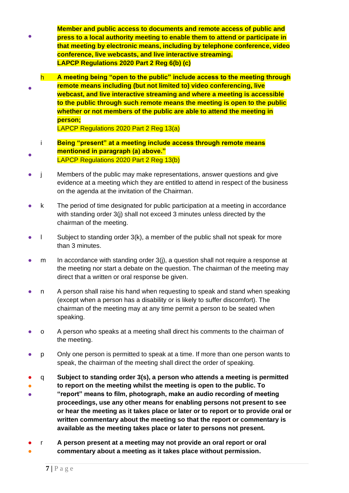- **Member and public access to documents and remote access of public and press to a local authority meeting to enable them to attend or participate in that meeting by electronic means, including by telephone conference, video conference, live webcasts, and live interactive streaming. LAPCP Regulations 2020 Part 2 Reg 6(b) (c)**
- h **A meeting being "open to the public" include access to the meeting through remote means including (but not limited to) video conferencing, live webcast, and live interactive streaming and where a meeting is accessible to the public through such remote means the meeting is open to the public whether or not members of the public are able to attend the meeting in person;**

LAPCP Regulations 2020 Part 2 Reg 13(a)

- i **Being "present" at a meeting include access through remote means mentioned in paragraph (a) above."**  LAPCP Regulations 2020 Part 2 Reg 13(b)
- j Members of the public may make representations, answer questions and give evidence at a meeting which they are entitled to attend in respect of the business on the agenda at the invitation of the Chairman.
- k The period of time designated for public participation at a meeting in accordance with standing order 3(j) shall not exceed 3 minutes unless directed by the chairman of the meeting.
- $\blacksquare$  Subject to standing order 3(k), a member of the public shall not speak for more than 3 minutes.
- $m$  In accordance with standing order  $3(i)$ , a question shall not require a response at the meeting nor start a debate on the question. The chairman of the meeting may direct that a written or oral response be given.
- n A person shall raise his hand when requesting to speak and stand when speaking (except when a person has a disability or is likely to suffer discomfort). The chairman of the meeting may at any time permit a person to be seated when speaking.
- o A person who speaks at a meeting shall direct his comments to the chairman of the meeting.
- p Only one person is permitted to speak at a time. If more than one person wants to speak, the chairman of the meeting shall direct the order of speaking.
- q **Subject to standing order 3(s), a person who attends a meeting is permitted**
- **to report on the meeting whilst the meeting is open to the public. To**
- **"report" means to film, photograph, make an audio recording of meeting proceedings, use any other means for enabling persons not present to see or hear the meeting as it takes place or later or to report or to provide oral or written commentary about the meeting so that the report or commentary is available as the meeting takes place or later to persons not present.**
- ● r **A person present at a meeting may not provide an oral report or oral commentary about a meeting as it takes place without permission.**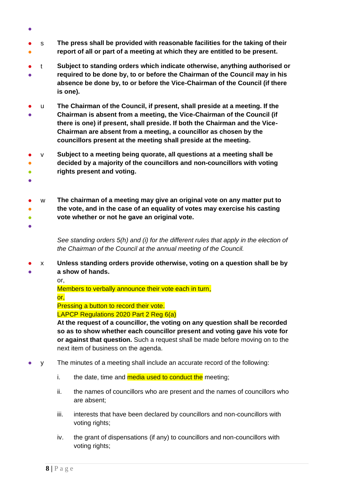- ● s **The press shall be provided with reasonable facilities for the taking of their report of all or part of a meeting at which they are entitled to be present.**
- ● t **Subject to standing orders which indicate otherwise, anything authorised or required to be done by, to or before the Chairman of the Council may in his absence be done by, to or before the Vice-Chairman of the Council (if there is one).**
- ● u **The Chairman of the Council, if present, shall preside at a meeting. If the Chairman is absent from a meeting, the Vice-Chairman of the Council (if there is one) if present, shall preside. If both the Chairman and the Vice-Chairman are absent from a meeting, a councillor as chosen by the councillors present at the meeting shall preside at the meeting.**
- v **Subject to a meeting being quorate, all questions at a meeting shall be**
- ● **decided by a majority of the councillors and non-councillors with voting rights present and voting.**
- ●

●

- w **The chairman of a meeting may give an original vote on any matter put to**
- **the vote, and in the case of an equality of votes may exercise his casting**
- $\bullet$ **vote whether or not he gave an original vote.**
- ●

●

*See standing orders 5(h) and (i) for the different rules that apply in the election of the Chairman of the Council at the annual meeting of the Council.*

- x **Unless standing orders provide otherwise, voting on a question shall be by** 
	- **a show of hands.**

or,

Members to verbally announce their vote each in turn, or,

Pressing a button to record their vote.

LAPCP Regulations 2020 Part 2 Reg 6(a)

**At the request of a councillor, the voting on any question shall be recorded so as to show whether each councillor present and voting gave his vote for or against that question.** Such a request shall be made before moving on to the next item of business on the agenda.

- y The minutes of a meeting shall include an accurate record of the following:
	- i. the date, time and  $median$  used to conduct the meeting;
	- ii. the names of councillors who are present and the names of councillors who are absent;
	- iii. interests that have been declared by councillors and non-councillors with voting rights;
	- iv. the grant of dispensations (if any) to councillors and non-councillors with voting rights;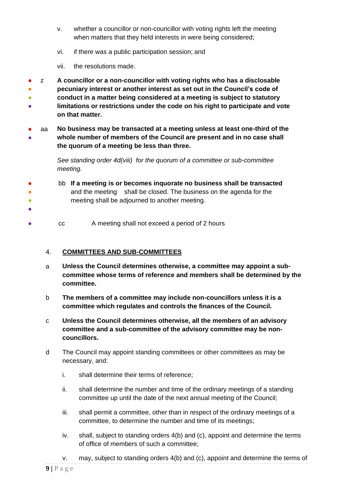- v. whether a councillor or non-councillor with voting rights left the meeting when matters that they held interests in were being considered;
- vi. if there was a public participation session; and
- vii. the resolutions made.

● ● ● ● z **A councillor or a non-councillor with voting rights who has a disclosable pecuniary interest or another interest as set out in the Council's code of conduct in a matter being considered at a meeting is subject to statutory limitations or restrictions under the code on his right to participate and vote on that matter.**

● ● aa **No business may be transacted at a meeting unless at least one-third of the whole number of members of the Council are present and in no case shall the quorum of a meeting be less than three.**

> *See standing order 4d(viii) for the quorum of a committee or sub-committee meeting.*

- ● ● bb **If a meeting is or becomes inquorate no business shall be transacted** and the meeting shall be closed. The business on the agenda for the meeting shall be adjourned to another meeting.
- cc A meeting shall not exceed a period of 2 hours

#### <span id="page-8-0"></span>4. **COMMITTEES AND SUB-COMMITTEES**

- a **Unless the Council determines otherwise, a committee may appoint a subcommittee whose terms of reference and members shall be determined by the committee.**
- b **The members of a committee may include non-councillors unless it is a committee which regulates and controls the finances of the Council.**
- c **Unless the Council determines otherwise, all the members of an advisory committee and a sub-committee of the advisory committee may be noncouncillors.**
- d The Council may appoint standing committees or other committees as may be necessary, and:
	- i. shall determine their terms of reference;
	- ii. shall determine the number and time of the ordinary meetings of a standing committee up until the date of the next annual meeting of the Council;
	- iii. shall permit a committee, other than in respect of the ordinary meetings of a committee, to determine the number and time of its meetings;
	- iv. shall, subject to standing orders 4(b) and (c), appoint and determine the terms of office of members of such a committee;
	- v. may, subject to standing orders 4(b) and (c), appoint and determine the terms of

●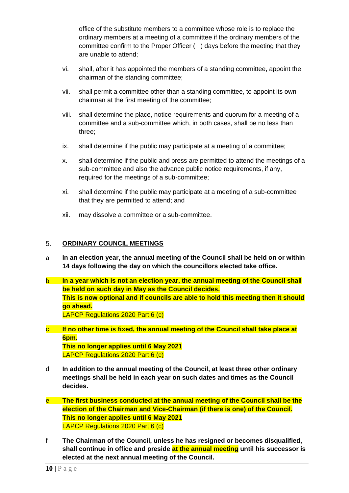office of the substitute members to a committee whose role is to replace the ordinary members at a meeting of a committee if the ordinary members of the committee confirm to the Proper Officer ( ) days before the meeting that they are unable to attend;

- vi. shall, after it has appointed the members of a standing committee, appoint the chairman of the standing committee;
- vii. shall permit a committee other than a standing committee, to appoint its own chairman at the first meeting of the committee;
- viii. shall determine the place, notice requirements and quorum for a meeting of a committee and a sub-committee which, in both cases, shall be no less than three;
- ix. shall determine if the public may participate at a meeting of a committee;
- x. shall determine if the public and press are permitted to attend the meetings of a sub-committee and also the advance public notice requirements, if any, required for the meetings of a sub-committee;
- xi. shall determine if the public may participate at a meeting of a sub-committee that they are permitted to attend; and
- xii. may dissolve a committee or a sub-committee.

#### <span id="page-9-0"></span> $5<sub>1</sub>$ **ORDINARY COUNCIL MEETINGS**

- a **In an election year, the annual meeting of the Council shall be held on or within 14 days following the day on which the councillors elected take office.**
- b **In a year which is not an election year, the annual meeting of the Council shall be held on such day in May as the Council decides. This is now optional and if councils are able to hold this meeting then it should go ahead.** LAPCP Regulations 2020 Part 6 (c)
- c **If no other time is fixed, the annual meeting of the Council shall take place at 6pm. This no longer applies until 6 May 2021** LAPCP Regulations 2020 Part 6 (c)
- d **In addition to the annual meeting of the Council, at least three other ordinary meetings shall be held in each year on such dates and times as the Council decides.**
- e **The first business conducted at the annual meeting of the Council shall be the election of the Chairman and Vice-Chairman (if there is one) of the Council. This no longer applies until 6 May 2021** LAPCP Regulations 2020 Part 6 (c)
- f **The Chairman of the Council, unless he has resigned or becomes disqualified, shall continue in office and preside at the annual meeting until his successor is elected at the next annual meeting of the Council.**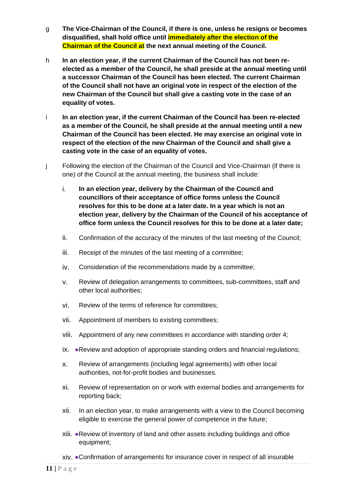- g **The Vice-Chairman of the Council, if there is one, unless he resigns or becomes disqualified, shall hold office until immediately after the election of the Chairman of the Council at the next annual meeting of the Council.**
- h **In an election year, if the current Chairman of the Council has not been reelected as a member of the Council, he shall preside at the annual meeting until a successor Chairman of the Council has been elected. The current Chairman of the Council shall not have an original vote in respect of the election of the new Chairman of the Council but shall give a casting vote in the case of an equality of votes.**
- i **In an election year, if the current Chairman of the Council has been re-elected as a member of the Council, he shall preside at the annual meeting until a new Chairman of the Council has been elected. He may exercise an original vote in respect of the election of the new Chairman of the Council and shall give a casting vote in the case of an equality of votes.**
- j Following the election of the Chairman of the Council and Vice-Chairman (if there is one) of the Council at the annual meeting, the business shall include:
	- i. **In an election year, delivery by the Chairman of the Council and councillors of their acceptance of office forms unless the Council resolves for this to be done at a later date. In a year which is not an election year, delivery by the Chairman of the Council of his acceptance of office form unless the Council resolves for this to be done at a later date;**
	- ii. Confirmation of the accuracy of the minutes of the last meeting of the Council;
	- iii. Receipt of the minutes of the last meeting of a committee;
	- iv. Consideration of the recommendations made by a committee;
	- v. Review of delegation arrangements to committees, sub-committees, staff and other local authorities;
	- vi. Review of the terms of reference for committees;
	- vii. Appointment of members to existing committees;
	- viii. Appointment of any new committees in accordance with standing order 4;
	- ix. ●Review and adoption of appropriate standing orders and financial regulations;
	- x. Review of arrangements (including legal agreements) with other local authorities, not-for-profit bodies and businesses.
	- xi. Review of representation on or work with external bodies and arrangements for reporting back;
	- xii. In an election year, to make arrangements with a view to the Council becoming eligible to exercise the general power of competence in the future;
	- xiii. ●Review of inventory of land and other assets including buildings and office equipment;
	- xiv. ●Confirmation of arrangements for insurance cover in respect of all insurable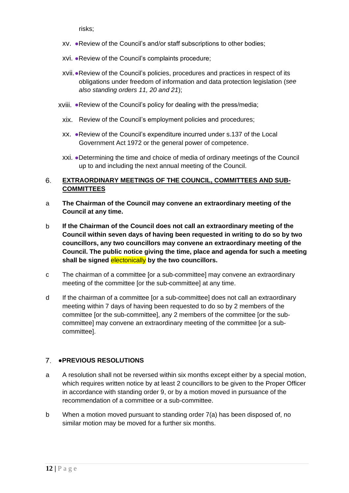risks;

- xv. ●Review of the Council's and/or staff subscriptions to other bodies;
- xvi. ●Review of the Council's complaints procedure;
- xvii.●Review of the Council's policies, procedures and practices in respect of its obligations under freedom of information and data protection legislation (*see also standing orders 11, 20 and 21*);
- xviii. ●Review of the Council's policy for dealing with the press/media;
	- xix. Review of the Council's employment policies and procedures;
	- xx. ●Review of the Council's expenditure incurred under s.137 of the Local Government Act 1972 or the general power of competence.
	- xxi. ●Determining the time and choice of media of ordinary meetings of the Council up to and including the next annual meeting of the Council.

#### <span id="page-11-0"></span>6. **EXTRAORDINARY MEETINGS OF THE COUNCIL, COMMITTEES AND SUB-COMMITTEES**

- a **The Chairman of the Council may convene an extraordinary meeting of the Council at any time.**
- b **If the Chairman of the Council does not call an extraordinary meeting of the Council within seven days of having been requested in writing to do so by two councillors, any two councillors may convene an extraordinary meeting of the Council. The public notice giving the time, place and agenda for such a meeting shall be signed** electonically **by the two councillors.**
- c The chairman of a committee [or a sub-committee] may convene an extraordinary meeting of the committee [or the sub-committee] at any time.
- d If the chairman of a committee [or a sub-committee] does not call an extraordinary meeting within 7 days of having been requested to do so by 2 members of the committee [or the sub-committee], any 2 members of the committee [or the subcommittee] may convene an extraordinary meeting of the committee [or a subcommittee].

# <span id="page-11-1"></span>●**PREVIOUS RESOLUTIONS**

- a A resolution shall not be reversed within six months except either by a special motion, which requires written notice by at least 2 councillors to be given to the Proper Officer in accordance with standing order 9, or by a motion moved in pursuance of the recommendation of a committee or a sub-committee.
- b When a motion moved pursuant to standing order 7(a) has been disposed of, no similar motion may be moved for a further six months.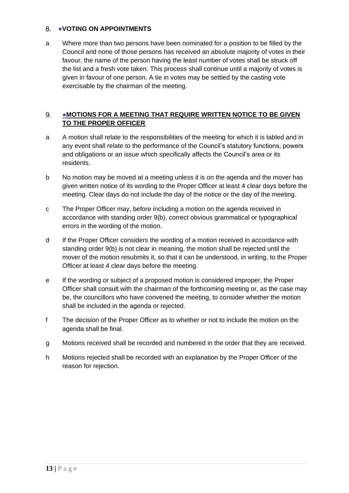# <span id="page-12-0"></span>8. VOTING ON APPOINTMENTS

a Where more than two persons have been nominated for a position to be filled by the Council and none of those persons has received an absolute majority of votes in their favour, the name of the person having the least number of votes shall be struck off the list and a fresh vote taken. This process shall continue until a majority of votes is given in favour of one person. A tie in votes may be settled by the casting vote exercisable by the chairman of the meeting.

#### <span id="page-12-1"></span>9. ●**MOTIONS FOR A MEETING THAT REQUIRE WRITTEN NOTICE TO BE GIVEN TO THE PROPER OFFICER**

- a A motion shall relate to the responsibilities of the meeting for which it is tabled and in any event shall relate to the performance of the Council's statutory functions, powers and obligations or an issue which specifically affects the Council's area or its residents.
- b No motion may be moved at a meeting unless it is on the agenda and the mover has given written notice of its wording to the Proper Officer at least 4 clear days before the meeting. Clear days do not include the day of the notice or the day of the meeting.
- c The Proper Officer may, before including a motion on the agenda received in accordance with standing order 9(b), correct obvious grammatical or typographical errors in the wording of the motion.
- d If the Proper Officer considers the wording of a motion received in accordance with standing order 9(b) is not clear in meaning, the motion shall be rejected until the mover of the motion resubmits it, so that it can be understood, in writing, to the Proper Officer at least 4 clear days before the meeting.
- e If the wording or subject of a proposed motion is considered improper, the Proper Officer shall consult with the chairman of the forthcoming meeting or, as the case may be, the councillors who have convened the meeting, to consider whether the motion shall be included in the agenda or rejected.
- f The decision of the Proper Officer as to whether or not to include the motion on the agenda shall be final.
- g Motions received shall be recorded and numbered in the order that they are received.
- h Motions rejected shall be recorded with an explanation by the Proper Officer of the reason for rejection.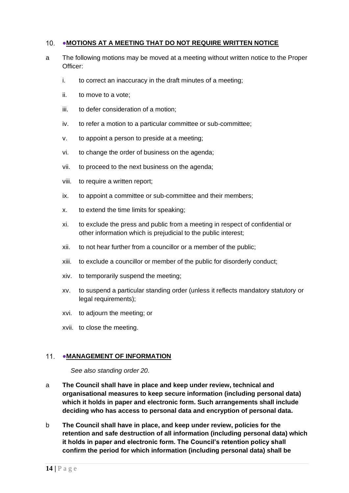## <span id="page-13-0"></span>10. • MOTIONS AT A MEETING THAT DO NOT REQUIRE WRITTEN NOTICE

- a The following motions may be moved at a meeting without written notice to the Proper Officer:
	- i. to correct an inaccuracy in the draft minutes of a meeting;
	- ii. to move to a vote;
	- iii. to defer consideration of a motion;
	- iv. to refer a motion to a particular committee or sub-committee;
	- v. to appoint a person to preside at a meeting;
	- vi. to change the order of business on the agenda;
	- vii. to proceed to the next business on the agenda;
	- viii. to require a written report;
	- ix. to appoint a committee or sub-committee and their members;
	- x. to extend the time limits for speaking;
	- xi. to exclude the press and public from a meeting in respect of confidential or other information which is prejudicial to the public interest;
	- xii. to not hear further from a councillor or a member of the public;
	- xiii. to exclude a councillor or member of the public for disorderly conduct;
	- xiv. to temporarily suspend the meeting;
	- xv. to suspend a particular standing order (unless it reflects mandatory statutory or legal requirements);
	- xvi. to adjourn the meeting; or
	- xvii. to close the meeting.

### <span id="page-13-1"></span>11. • MANAGEMENT OF INFORMATION

*See also standing order 20.*

- a **The Council shall have in place and keep under review, technical and organisational measures to keep secure information (including personal data) which it holds in paper and electronic form. Such arrangements shall include deciding who has access to personal data and encryption of personal data.**
- b **The Council shall have in place, and keep under review, policies for the retention and safe destruction of all information (including personal data) which it holds in paper and electronic form. The Council's retention policy shall confirm the period for which information (including personal data) shall be**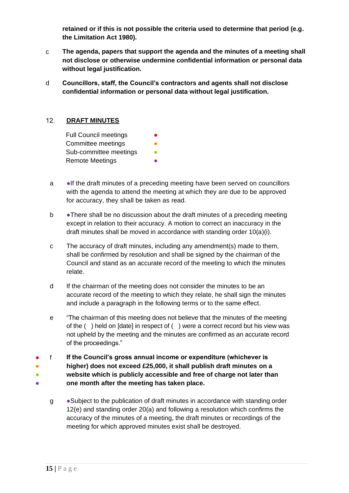**retained or if this is not possible the criteria used to determine that period (e.g. the Limitation Act 1980).**

- c **The agenda, papers that support the agenda and the minutes of a meeting shall not disclose or otherwise undermine confidential information or personal data without legal justification.**
- d **Councillors, staff, the Council's contractors and agents shall not disclose confidential information or personal data without legal justification.**

#### <span id="page-14-0"></span> $12.$ **DRAFT MINUTES**

- a ●If the draft minutes of a preceding meeting have been served on councillors with the agenda to attend the meeting at which they are due to be approved for accuracy, they shall be taken as read.
- b ●There shall be no discussion about the draft minutes of a preceding meeting except in relation to their accuracy. A motion to correct an inaccuracy in the draft minutes shall be moved in accordance with standing order 10(a)(i).
- c The accuracy of draft minutes, including any amendment(s) made to them, shall be confirmed by resolution and shall be signed by the chairman of the Council and stand as an accurate record of the meeting to which the minutes relate.
- d If the chairman of the meeting does not consider the minutes to be an accurate record of the meeting to which they relate, he shall sign the minutes and include a paragraph in the following terms or to the same effect.
- e "The chairman of this meeting does not believe that the minutes of the meeting of the ( ) held on [date] in respect of ( ) were a correct record but his view was not upheld by the meeting and the minutes are confirmed as an accurate record of the proceedings."
- ● ● ● f **If the Council's gross annual income or expenditure (whichever is higher) does not exceed £25,000, it shall publish draft minutes on a website which is publicly accessible and free of charge not later than one month after the meeting has taken place.**
	- g ●Subject to the publication of draft minutes in accordance with standing order 12(e) and standing order 20(a) and following a resolution which confirms the accuracy of the minutes of a meeting, the draft minutes or recordings of the meeting for which approved minutes exist shall be destroyed.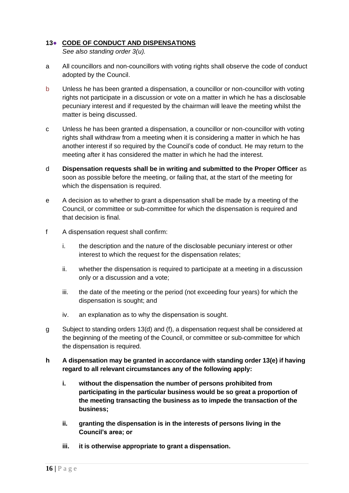# <span id="page-15-0"></span>**13**● **CODE OF CONDUCT AND DISPENSATIONS**

*See also standing order 3(u).*

- a All councillors and non-councillors with voting rights shall observe the code of conduct adopted by the Council.
- b Unless he has been granted a dispensation, a councillor or non-councillor with voting rights not participate in a discussion or vote on a matter in which he has a disclosable pecuniary interest and if requested by the chairman will leave the meeting whilst the matter is being discussed.
- c Unless he has been granted a dispensation, a councillor or non-councillor with voting rights shall withdraw from a meeting when it is considering a matter in which he has another interest if so required by the Council's code of conduct. He may return to the meeting after it has considered the matter in which he had the interest.
- d **Dispensation requests shall be in writing and submitted to the Proper Officer** as soon as possible before the meeting, or failing that, at the start of the meeting for which the dispensation is required.
- e A decision as to whether to grant a dispensation shall be made by a meeting of the Council, or committee or sub-committee for which the dispensation is required and that decision is final.
- f A dispensation request shall confirm:
	- i. the description and the nature of the disclosable pecuniary interest or other interest to which the request for the dispensation relates;
	- ii. whether the dispensation is required to participate at a meeting in a discussion only or a discussion and a vote;
	- iii. the date of the meeting or the period (not exceeding four years) for which the dispensation is sought; and
	- iv. an explanation as to why the dispensation is sought.
- g Subject to standing orders 13(d) and (f), a dispensation request shall be considered at the beginning of the meeting of the Council, or committee or sub-committee for which the dispensation is required.
- **h A dispensation may be granted in accordance with standing order 13(e) if having regard to all relevant circumstances any of the following apply:**
	- **i. without the dispensation the number of persons prohibited from participating in the particular business would be so great a proportion of the meeting transacting the business as to impede the transaction of the business;**
	- **ii. granting the dispensation is in the interests of persons living in the Council's area; or**
	- **iii. it is otherwise appropriate to grant a dispensation.**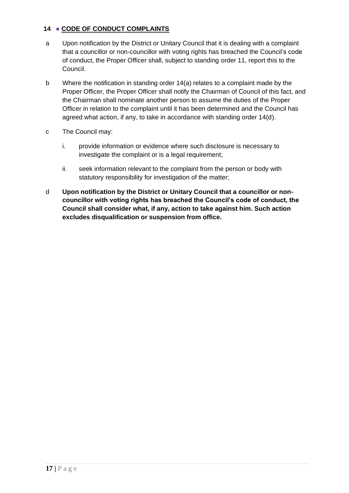# <span id="page-16-0"></span>**14** ● **CODE OF CONDUCT COMPLAINTS**

- a Upon notification by the District or Unitary Council that it is dealing with a complaint that a councillor or non-councillor with voting rights has breached the Council's code of conduct, the Proper Officer shall, subject to standing order 11, report this to the Council.
- b Where the notification in standing order 14(a) relates to a complaint made by the Proper Officer, the Proper Officer shall notify the Chairman of Council of this fact, and the Chairman shall nominate another person to assume the duties of the Proper Officer in relation to the complaint until it has been determined and the Council has agreed what action, if any, to take in accordance with standing order 14(d).
- c The Council may:
	- i. provide information or evidence where such disclosure is necessary to investigate the complaint or is a legal requirement;
	- ii. seek information relevant to the complaint from the person or body with statutory responsibility for investigation of the matter;
- <span id="page-16-1"></span>d **Upon notification by the District or Unitary Council that a councillor or noncouncillor with voting rights has breached the Council's code of conduct, the Council shall consider what, if any, action to take against him. Such action excludes disqualification or suspension from office.**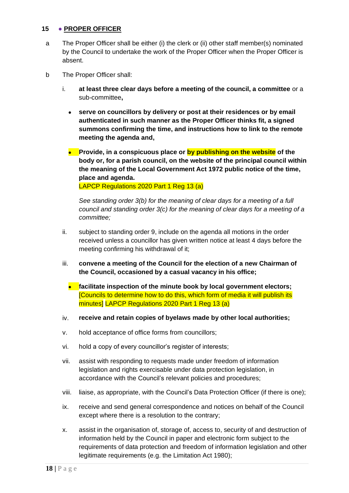## **15** ● **PROPER OFFICER**

- a The Proper Officer shall be either (i) the clerk or (ii) other staff member(s) nominated by the Council to undertake the work of the Proper Officer when the Proper Officer is absent.
- b The Proper Officer shall:
	- i. **at least three clear days before a meeting of the council, a committee** or a sub-committee**,**
		- **serve on councillors by delivery or post at their residences or by email authenticated in such manner as the Proper Officer thinks fit, a signed summons confirming the time, and instructions how to link to the remote meeting the agenda and,**
		- **Provide, in a conspicuous place or by publishing on the website of the body or, for a parish council, on the website of the principal council within the meaning of the Local Government Act 1972 public notice of the time, place and agenda.**

LAPCP Regulations 2020 Part 1 Reg 13 (a)

*See standing order 3(b) for the meaning of clear days for a meeting of a full council and standing order 3(c) for the meaning of clear days for a meeting of a committee;*

- ii. subject to standing order 9, include on the agenda all motions in the order received unless a councillor has given written notice at least 4 days before the meeting confirming his withdrawal of it;
- iii. **convene a meeting of the Council for the election of a new Chairman of the Council, occasioned by a casual vacancy in his office;**
	- **facilitate inspection of the minute book by local government electors;** [Councils to determine how to do this, which form of media it will publish its minutes] LAPCP Regulations 2020 Part 1 Reg 13 (a)
- iv. **receive and retain copies of byelaws made by other local authorities;**
- v. hold acceptance of office forms from councillors;
- vi. hold a copy of every councillor's register of interests;
- vii. assist with responding to requests made under freedom of information legislation and rights exercisable under data protection legislation, in accordance with the Council's relevant policies and procedures;
- viii. liaise, as appropriate, with the Council's Data Protection Officer (if there is one);
- ix. receive and send general correspondence and notices on behalf of the Council except where there is a resolution to the contrary;
- x. assist in the organisation of, storage of, access to, security of and destruction of information held by the Council in paper and electronic form subject to the requirements of data protection and freedom of information legislation and other legitimate requirements (e.g. the Limitation Act 1980);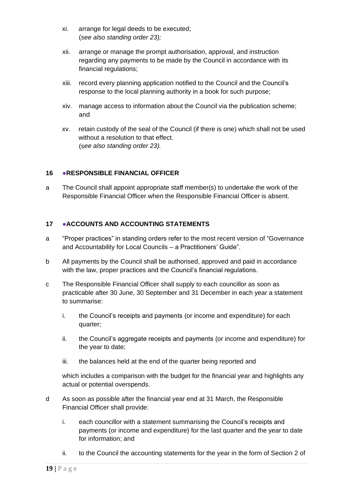- xi. arrange for legal deeds to be executed; (*see also standing order 23);*
- xii. arrange or manage the prompt authorisation, approval, and instruction regarding any payments to be made by the Council in accordance with its financial regulations;
- xiii. record every planning application notified to the Council and the Council's response to the local planning authority in a book for such purpose;
- xiv. manage access to information about the Council via the publication scheme; and
- xv. retain custody of the seal of the Council (if there is one) which shall not be used without a resolution to that effect. (s*ee also standing order 23).*

## <span id="page-18-0"></span>**16** ●**RESPONSIBLE FINANCIAL OFFICER**

a The Council shall appoint appropriate staff member(s) to undertake the work of the Responsible Financial Officer when the Responsible Financial Officer is absent.

## <span id="page-18-1"></span>**17** ●**ACCOUNTS AND ACCOUNTING STATEMENTS**

- a "Proper practices" in standing orders refer to the most recent version of "Governance and Accountability for Local Councils – a Practitioners' Guide".
- b All payments by the Council shall be authorised, approved and paid in accordance with the law, proper practices and the Council's financial regulations.
- c The Responsible Financial Officer shall supply to each councillor as soon as practicable after 30 June, 30 September and 31 December in each year a statement to summarise:
	- i. the Council's receipts and payments (or income and expenditure) for each quarter;
	- ii. the Council's aggregate receipts and payments (or income and expenditure) for the year to date;
	- iii. the balances held at the end of the quarter being reported and

which includes a comparison with the budget for the financial year and highlights any actual or potential overspends.

- d As soon as possible after the financial year end at 31 March, the Responsible Financial Officer shall provide:
	- i. each councillor with a statement summarising the Council's receipts and payments (or income and expenditure) for the last quarter and the year to date for information; and
	- ii. to the Council the accounting statements for the year in the form of Section 2 of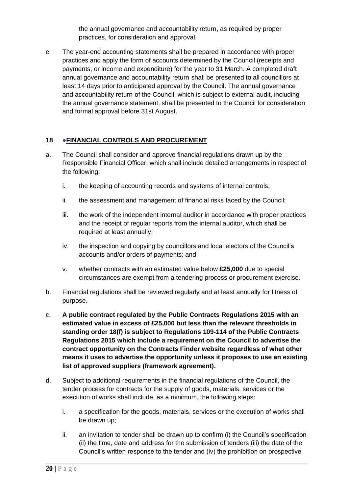the annual governance and accountability return, as required by proper practices, for consideration and approval.

e The year-end accounting statements shall be prepared in accordance with proper practices and apply the form of accounts determined by the Council (receipts and payments, or income and expenditure) for the year to 31 March. A completed draft annual governance and accountability return shall be presented to all councillors at least 14 days prior to anticipated approval by the Council. The annual governance and accountability return of the Council, which is subject to external audit, including the annual governance statement, shall be presented to the Council for consideration and formal approval before 31st August.

# <span id="page-19-0"></span>**18 ●FINANCIAL CONTROLS AND PROCUREMENT**

- a. The Council shall consider and approve financial regulations drawn up by the Responsible Financial Officer, which shall include detailed arrangements in respect of the following:
	- i. the keeping of accounting records and systems of internal controls;
	- ii. the assessment and management of financial risks faced by the Council;
	- iii. the work of the independent internal auditor in accordance with proper practices and the receipt of regular reports from the internal auditor, which shall be required at least annually;
	- iv. the inspection and copying by councillors and local electors of the Council's accounts and/or orders of payments; and
	- v. whether contracts with an estimated value below **£25,000** due to special circumstances are exempt from a tendering process or procurement exercise.
- b. Financial regulations shall be reviewed regularly and at least annually for fitness of purpose.
- c. **A public contract regulated by the Public Contracts Regulations 2015 with an estimated value in excess of £25,000 but less than the relevant thresholds in standing order 18(f) is subject to Regulations 109-114 of the Public Contracts Regulations 2015 which include a requirement on the Council to advertise the contract opportunity on the Contracts Finder website regardless of what other means it uses to advertise the opportunity unless it proposes to use an existing list of approved suppliers (framework agreement).**
- d. Subject to additional requirements in the financial regulations of the Council, the tender process for contracts for the supply of goods, materials, services or the execution of works shall include, as a minimum, the following steps:
	- i. a specification for the goods, materials, services or the execution of works shall be drawn up;
	- ii. an invitation to tender shall be drawn up to confirm (i) the Council's specification (ii) the time, date and address for the submission of tenders (iii) the date of the Council's written response to the tender and (iv) the prohibition on prospective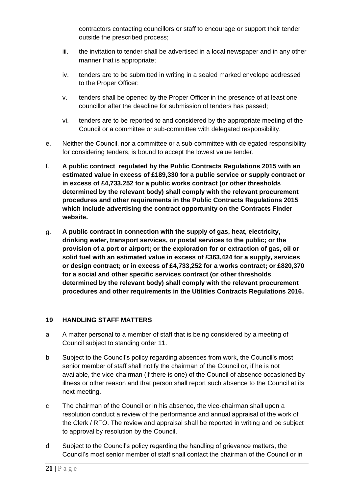contractors contacting councillors or staff to encourage or support their tender outside the prescribed process;

- iii. the invitation to tender shall be advertised in a local newspaper and in any other manner that is appropriate;
- iv. tenders are to be submitted in writing in a sealed marked envelope addressed to the Proper Officer;
- v. tenders shall be opened by the Proper Officer in the presence of at least one councillor after the deadline for submission of tenders has passed;
- vi. tenders are to be reported to and considered by the appropriate meeting of the Council or a committee or sub-committee with delegated responsibility.
- e. Neither the Council, nor a committee or a sub-committee with delegated responsibility for considering tenders, is bound to accept the lowest value tender.
- f. **A public contract regulated by the Public Contracts Regulations 2015 with an estimated value in excess of £189,330 for a public service or supply contract or in excess of £4,733,252 for a public works contract (or other thresholds determined by the relevant body) shall comply with the relevant procurement procedures and other requirements in the Public Contracts Regulations 2015 which include advertising the contract opportunity on the Contracts Finder website.**
- g. **A public contract in connection with the supply of gas, heat, electricity, drinking water, transport services, or postal services to the public; or the provision of a port or airport; or the exploration for or extraction of gas, oil or solid fuel with an estimated value in excess of £363,424 for a supply, services or design contract; or in excess of £4,733,252 for a works contract; or £820,370 for a social and other specific services contract (or other thresholds determined by the relevant body) shall comply with the relevant procurement procedures and other requirements in the Utilities Contracts Regulations 2016.**

# <span id="page-20-0"></span>**19 HANDLING STAFF MATTERS**

- a A matter personal to a member of staff that is being considered by a meeting of Council subject to standing order 11.
- b Subject to the Council's policy regarding absences from work, the Council's most senior member of staff shall notify the chairman of the Council or, if he is not available, the vice-chairman (if there is one) of the Council of absence occasioned by illness or other reason and that person shall report such absence to the Council at its next meeting.
- c The chairman of the Council or in his absence, the vice-chairman shall upon a resolution conduct a review of the performance and annual appraisal of the work of the Clerk / RFO. The review and appraisal shall be reported in writing and be subject to approval by resolution by the Council.
- d Subject to the Council's policy regarding the handling of grievance matters, the Council's most senior member of staff shall contact the chairman of the Council or in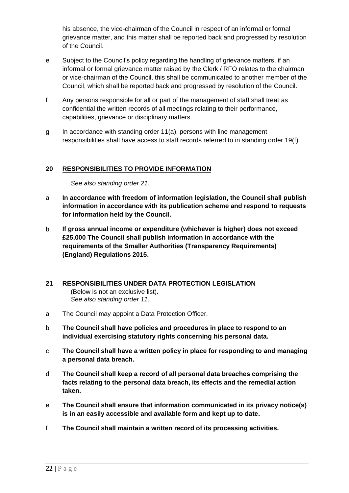his absence, the vice-chairman of the Council in respect of an informal or formal grievance matter, and this matter shall be reported back and progressed by resolution of the Council.

- e Subject to the Council's policy regarding the handling of grievance matters, if an informal or formal grievance matter raised by the Clerk / RFO relates to the chairman or vice-chairman of the Council, this shall be communicated to another member of the Council, which shall be reported back and progressed by resolution of the Council.
- f Any persons responsible for all or part of the management of staff shall treat as confidential the written records of all meetings relating to their performance, capabilities, grievance or disciplinary matters.
- g In accordance with standing order 11(a), persons with line management responsibilities shall have access to staff records referred to in standing order 19(f).

# <span id="page-21-0"></span>**20 RESPONSIBILITIES TO PROVIDE INFORMATION**

*See also standing order 21.*

- a **In accordance with freedom of information legislation, the Council shall publish information in accordance with its publication scheme and respond to requests for information held by the Council.**
- b. **If gross annual income or expenditure (whichever is higher) does not exceed £25,000 The Council shall publish information in accordance with the requirements of the Smaller Authorities (Transparency Requirements) (England) Regulations 2015.**

# <span id="page-21-1"></span>**21 RESPONSIBILITIES UNDER DATA PROTECTION LEGISLATION**

(Below is not an exclusive list). *See also standing order 11.*

- a The Council may appoint a Data Protection Officer.
- b **The Council shall have policies and procedures in place to respond to an individual exercising statutory rights concerning his personal data.**
- c **The Council shall have a written policy in place for responding to and managing a personal data breach.**
- d **The Council shall keep a record of all personal data breaches comprising the facts relating to the personal data breach, its effects and the remedial action taken.**
- e **The Council shall ensure that information communicated in its privacy notice(s) is in an easily accessible and available form and kept up to date.**
- f **The Council shall maintain a written record of its processing activities.**